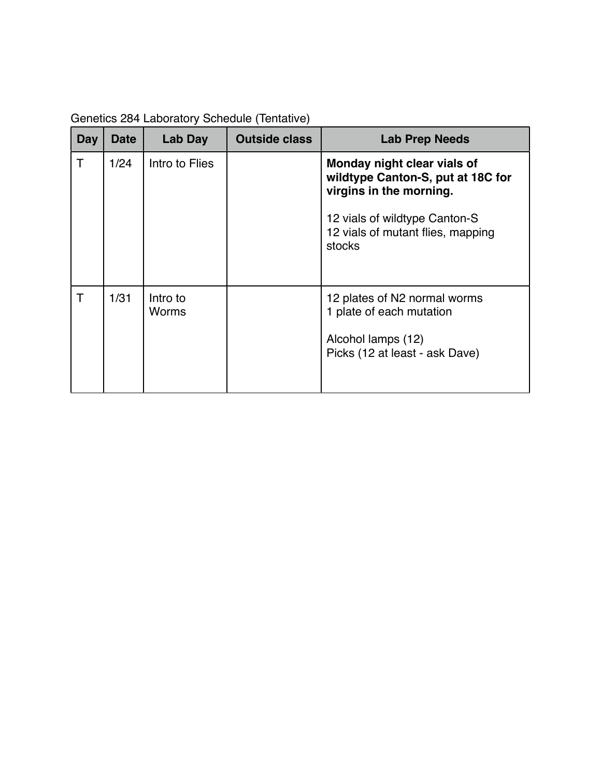| Genetics 284 Laboratory Schedule (Tentative) |  |
|----------------------------------------------|--|
|----------------------------------------------|--|

| Day          | <b>Date</b> | Lab Day           | <b>Outside class</b> | <b>Lab Prep Needs</b>                                                                                            |
|--------------|-------------|-------------------|----------------------|------------------------------------------------------------------------------------------------------------------|
| $\mathsf{T}$ | 1/24        | Intro to Flies    |                      | Monday night clear vials of<br>wildtype Canton-S, put at 18C for<br>virgins in the morning.                      |
|              |             |                   |                      | 12 vials of wildtype Canton-S<br>12 vials of mutant flies, mapping<br>stocks                                     |
| Τ            | 1/31        | Intro to<br>Worms |                      | 12 plates of N2 normal worms<br>1 plate of each mutation<br>Alcohol lamps (12)<br>Picks (12 at least - ask Dave) |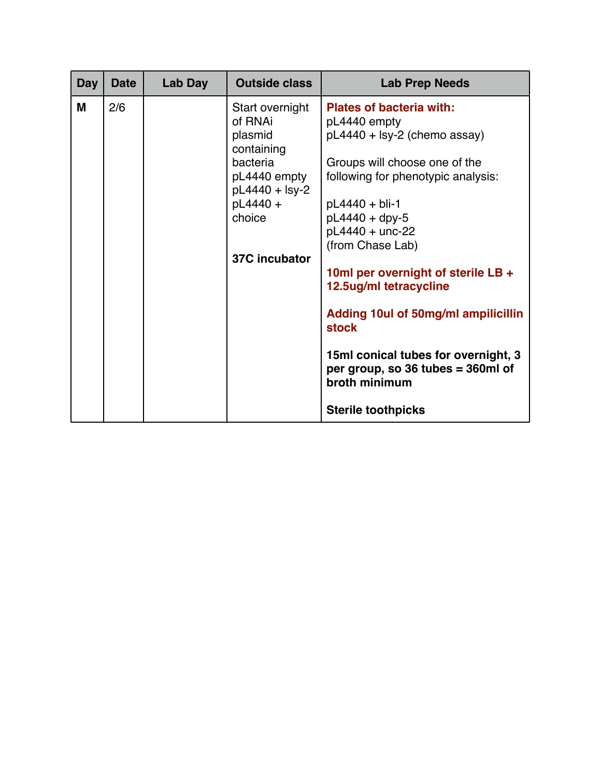| <b>Day</b> | <b>Date</b> | Lab Day | <b>Outside class</b>                                                                                                                     | <b>Lab Prep Needs</b>                                                                                                                                                                                                                                                                                                                                                                                                                                                                  |
|------------|-------------|---------|------------------------------------------------------------------------------------------------------------------------------------------|----------------------------------------------------------------------------------------------------------------------------------------------------------------------------------------------------------------------------------------------------------------------------------------------------------------------------------------------------------------------------------------------------------------------------------------------------------------------------------------|
| M          | 2/6         |         | Start overnight<br>of RNAi<br>plasmid<br>containing<br>bacteria<br>pL4440 empty<br>pL4440 + lsy-2<br>pL4440 +<br>choice<br>37C incubator | <b>Plates of bacteria with:</b><br>pL4440 empty<br>pL4440 + lsy-2 (chemo assay)<br>Groups will choose one of the<br>following for phenotypic analysis:<br>$pL4440 + bli-1$<br>$pL4440 + dpy-5$<br>pL4440 + unc-22<br>(from Chase Lab)<br>10ml per overnight of sterile LB +<br>12.5ug/ml tetracycline<br>Adding 10ul of 50mg/ml ampilicillin<br><b>stock</b><br>15ml conical tubes for overnight, 3<br>per group, so 36 tubes = 360ml of<br>broth minimum<br><b>Sterile toothpicks</b> |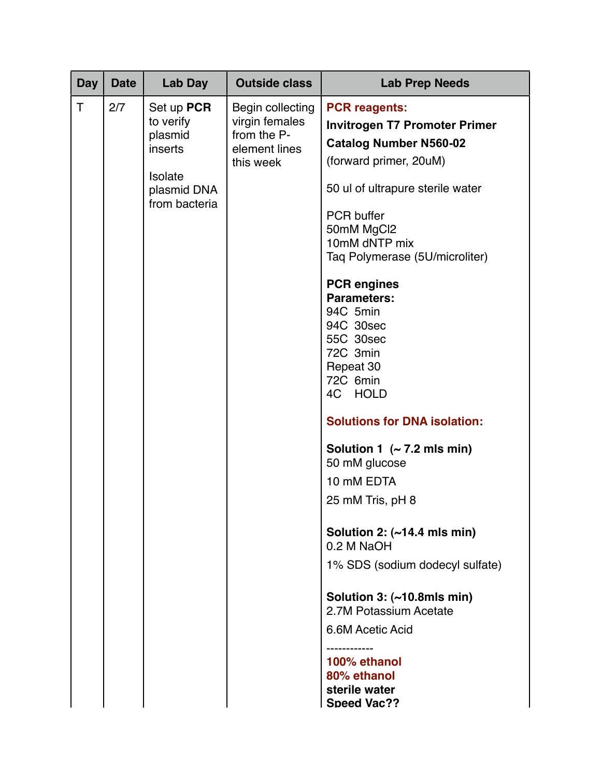| <b>Day</b> | <b>Date</b> | Lab Day                                                                                  | <b>Outside class</b>                                                            | <b>Lab Prep Needs</b>                                                                                                                                                                                                                                                                                                                                                                                                                                                                                                                                                                                                                                                                                                                                         |
|------------|-------------|------------------------------------------------------------------------------------------|---------------------------------------------------------------------------------|---------------------------------------------------------------------------------------------------------------------------------------------------------------------------------------------------------------------------------------------------------------------------------------------------------------------------------------------------------------------------------------------------------------------------------------------------------------------------------------------------------------------------------------------------------------------------------------------------------------------------------------------------------------------------------------------------------------------------------------------------------------|
| T          | 2/7         | Set up PCR<br>to verify<br>plasmid<br>inserts<br>Isolate<br>plasmid DNA<br>from bacteria | Begin collecting<br>virgin females<br>from the P-<br>element lines<br>this week | <b>PCR reagents:</b><br><b>Invitrogen T7 Promoter Primer</b><br><b>Catalog Number N560-02</b><br>(forward primer, 20uM)<br>50 ul of ultrapure sterile water<br>PCR buffer<br>50mM MgCl2<br>10mM dNTP mix<br>Taq Polymerase (5U/microliter)<br><b>PCR engines</b><br><b>Parameters:</b><br>94C 5min<br>94C 30sec<br>55C 30sec<br>72C 3min<br>Repeat 30<br>72C 6min<br>4C HOLD<br><b>Solutions for DNA isolation:</b><br>Solution 1 $($ $\sim$ 7.2 mls min)<br>50 mM glucose<br>10 mM EDTA<br>25 mM Tris, pH 8<br>Solution 2: $(\sim)14.4$ mls min)<br>0.2 M NaOH<br>1% SDS (sodium dodecyl sulfate)<br>Solution $3:$ ( $\sim$ 10.8mls min)<br>2.7M Potassium Acetate<br>6.6M Acetic Acid<br>100% ethanol<br>80% ethanol<br>sterile water<br><b>Speed Vac??</b> |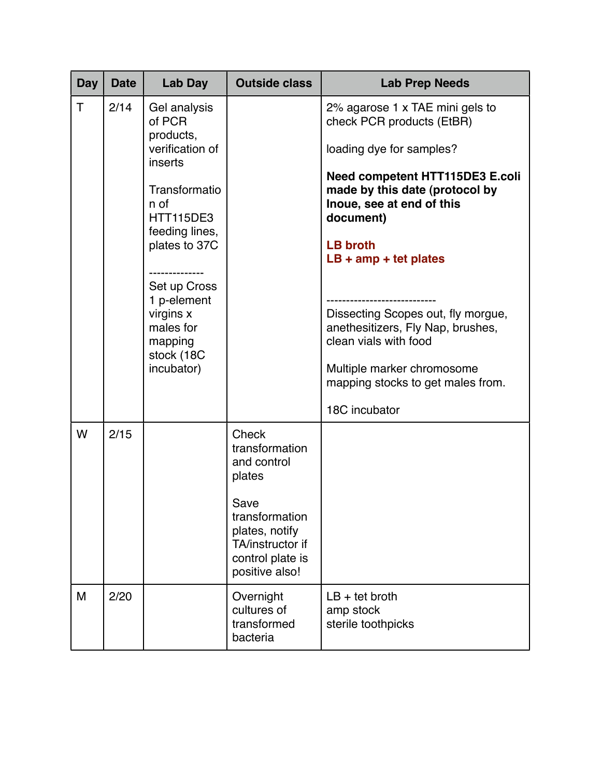| Day | <b>Date</b> | Lab Day                                                                                                                                                                                                                                                         | <b>Outside class</b>                                                                                                                                   | <b>Lab Prep Needs</b>                                                                                                                                                                                                                                                                                                                                                                                                                                |
|-----|-------------|-----------------------------------------------------------------------------------------------------------------------------------------------------------------------------------------------------------------------------------------------------------------|--------------------------------------------------------------------------------------------------------------------------------------------------------|------------------------------------------------------------------------------------------------------------------------------------------------------------------------------------------------------------------------------------------------------------------------------------------------------------------------------------------------------------------------------------------------------------------------------------------------------|
| T   | 2/14        | Gel analysis<br>of PCR<br>products,<br>verification of<br>inserts<br>Transformatio<br>n of<br><b>HTT115DE3</b><br>feeding lines,<br>plates to 37C<br>----------<br>Set up Cross<br>1 p-element<br>virgins x<br>males for<br>mapping<br>stock (18C<br>incubator) |                                                                                                                                                        | 2% agarose 1 x TAE mini gels to<br>check PCR products (EtBR)<br>loading dye for samples?<br><b>Need competent HTT115DE3 E.coli</b><br>made by this date (protocol by<br>Inoue, see at end of this<br>document)<br><b>LB broth</b><br>$LB + amp + tet$ plates<br>Dissecting Scopes out, fly morgue,<br>anethesitizers, Fly Nap, brushes,<br>clean vials with food<br>Multiple marker chromosome<br>mapping stocks to get males from.<br>18C incubator |
| W   | 2/15        |                                                                                                                                                                                                                                                                 | Check<br>transformation<br>and control<br>plates<br>Save<br>transformation<br>plates, notify<br>TA/instructor if<br>control plate is<br>positive also! |                                                                                                                                                                                                                                                                                                                                                                                                                                                      |
| M   | 2/20        |                                                                                                                                                                                                                                                                 | Overnight<br>cultures of<br>transformed<br>bacteria                                                                                                    | $LB + \text{tet}$ broth<br>amp stock<br>sterile toothpicks                                                                                                                                                                                                                                                                                                                                                                                           |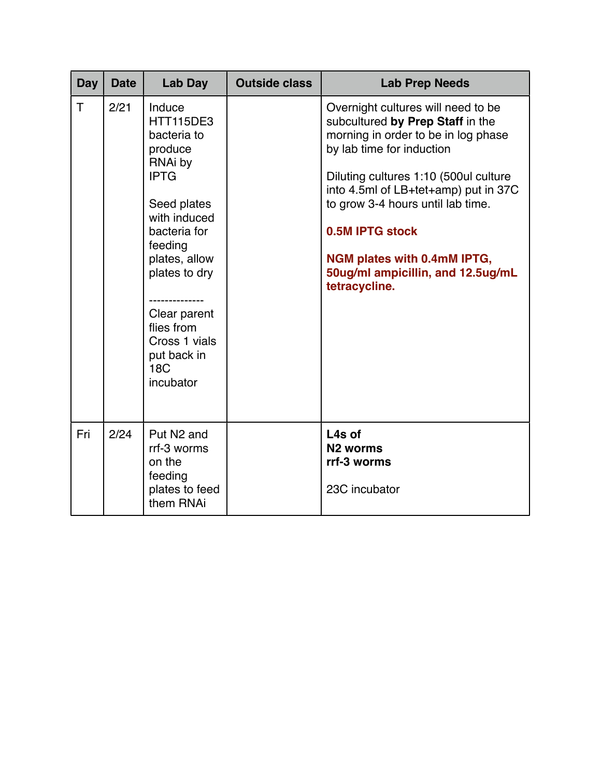| Day | <b>Date</b> | <b>Lab Day</b>                                                                                                                                                                                                                                                      | <b>Outside class</b> | <b>Lab Prep Needs</b>                                                                                                                                                                                                                                                                                                                                                           |
|-----|-------------|---------------------------------------------------------------------------------------------------------------------------------------------------------------------------------------------------------------------------------------------------------------------|----------------------|---------------------------------------------------------------------------------------------------------------------------------------------------------------------------------------------------------------------------------------------------------------------------------------------------------------------------------------------------------------------------------|
| T   | 2/21        | Induce<br><b>HTT115DE3</b><br>bacteria to<br>produce<br>RNAi by<br><b>IPTG</b><br>Seed plates<br>with induced<br>bacteria for<br>feeding<br>plates, allow<br>plates to dry<br>Clear parent<br>flies from<br>Cross 1 vials<br>put back in<br><b>18C</b><br>incubator |                      | Overnight cultures will need to be<br>subcultured by Prep Staff in the<br>morning in order to be in log phase<br>by lab time for induction<br>Diluting cultures 1:10 (500ul culture<br>into 4.5ml of LB+tet+amp) put in 37C<br>to grow 3-4 hours until lab time.<br>0.5M IPTG stock<br><b>NGM plates with 0.4mM IPTG,</b><br>50ug/ml ampicillin, and 12.5ug/mL<br>tetracycline. |
| Fri | 2/24        | Put N <sub>2</sub> and<br>rrf-3 worms<br>on the<br>feeding<br>plates to feed<br>them RNAi                                                                                                                                                                           |                      | L4s of<br>N <sub>2</sub> worms<br>rrf-3 worms<br>23C incubator                                                                                                                                                                                                                                                                                                                  |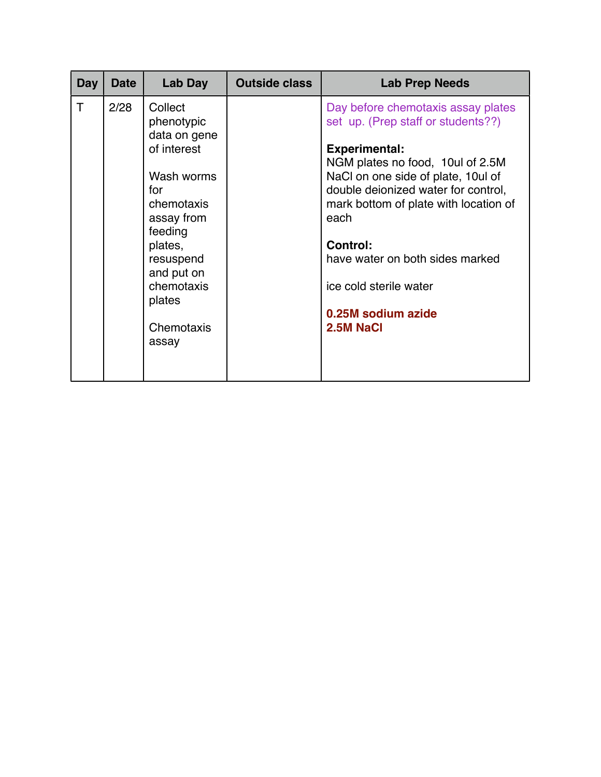| Day | <b>Date</b> | Lab Day                                                                                                                                                                                               | <b>Outside class</b> | <b>Lab Prep Needs</b>                                                                                                                                                                                                                                                                                                                                                                 |
|-----|-------------|-------------------------------------------------------------------------------------------------------------------------------------------------------------------------------------------------------|----------------------|---------------------------------------------------------------------------------------------------------------------------------------------------------------------------------------------------------------------------------------------------------------------------------------------------------------------------------------------------------------------------------------|
| T   | 2/28        | Collect<br>phenotypic<br>data on gene<br>of interest<br>Wash worms<br>for<br>chemotaxis<br>assay from<br>feeding<br>plates,<br>resuspend<br>and put on<br>chemotaxis<br>plates<br>Chemotaxis<br>assay |                      | Day before chemotaxis assay plates<br>set up. (Prep staff or students??)<br><b>Experimental:</b><br>NGM plates no food, 10ul of 2.5M<br>NaCI on one side of plate, 10ul of<br>double deionized water for control,<br>mark bottom of plate with location of<br>each<br><b>Control:</b><br>have water on both sides marked<br>ice cold sterile water<br>0.25M sodium azide<br>2.5M NaCl |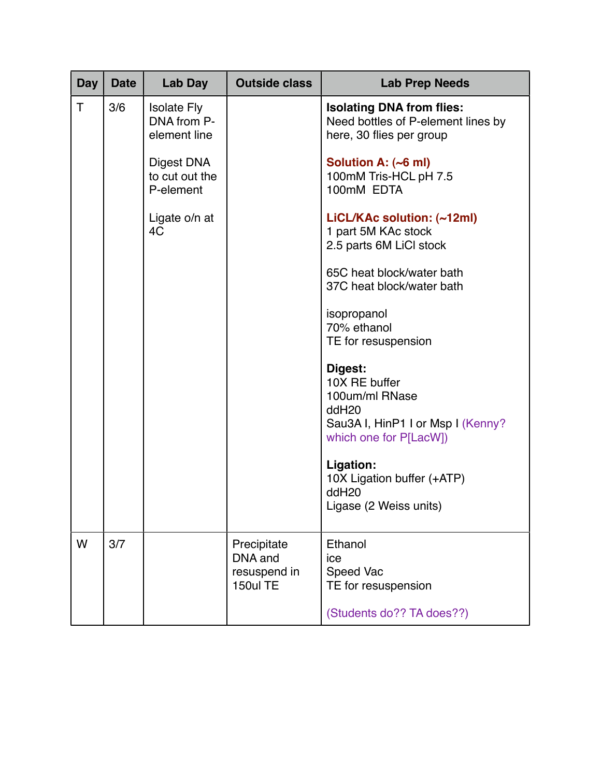| <b>Day</b> | <b>Date</b> | Lab Day                                           | <b>Outside class</b>                               | <b>Lab Prep Needs</b>                                                                                                          |
|------------|-------------|---------------------------------------------------|----------------------------------------------------|--------------------------------------------------------------------------------------------------------------------------------|
| T          | 3/6         | <b>Isolate Fly</b><br>DNA from P-<br>element line |                                                    | <b>Isolating DNA from flies:</b><br>Need bottles of P-element lines by<br>here, 30 flies per group                             |
|            |             | Digest DNA<br>to cut out the<br>P-element         |                                                    | Solution A: (~6 ml)<br>100mM Tris-HCL pH 7.5<br>100mM EDTA                                                                     |
|            |             | Ligate o/n at<br>4C                               |                                                    | LiCL/KAc solution: (~12ml)<br>1 part 5M KAc stock<br>2.5 parts 6M LiCl stock                                                   |
|            |             |                                                   |                                                    | 65C heat block/water bath<br>37C heat block/water bath                                                                         |
|            |             |                                                   |                                                    | isopropanol<br>70% ethanol<br>TE for resuspension                                                                              |
|            |             |                                                   |                                                    | Digest:<br>10X RE buffer<br>100um/ml RNase<br>ddH <sub>20</sub><br>Sau3A I, HinP1 I or Msp I (Kenny?<br>which one for P[LacW]) |
|            |             |                                                   |                                                    | Ligation:<br>10X Ligation buffer (+ATP)<br>ddH <sub>20</sub><br>Ligase (2 Weiss units)                                         |
| W          | 3/7         |                                                   | Precipitate<br>DNA and<br>resuspend in<br>150ul TE | Ethanol<br>ice<br>Speed Vac<br>TE for resuspension                                                                             |
|            |             |                                                   |                                                    | (Students do?? TA does??)                                                                                                      |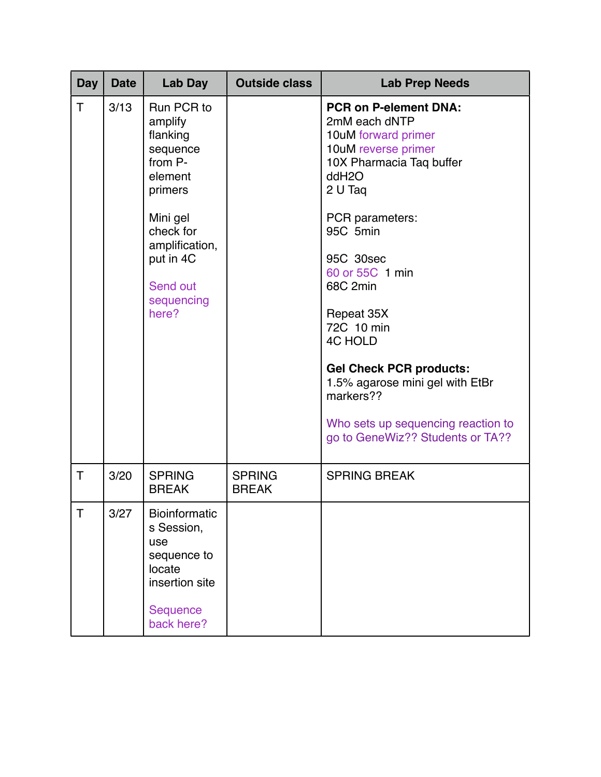| <b>Day</b> | <b>Date</b> | Lab Day                                                                                                                                                                   | <b>Outside class</b>          | <b>Lab Prep Needs</b>                                                                                                                                                                                                                                                                                                                                                                                                            |
|------------|-------------|---------------------------------------------------------------------------------------------------------------------------------------------------------------------------|-------------------------------|----------------------------------------------------------------------------------------------------------------------------------------------------------------------------------------------------------------------------------------------------------------------------------------------------------------------------------------------------------------------------------------------------------------------------------|
| Τ          | 3/13        | Run PCR to<br>amplify<br>flanking<br>sequence<br>from P-<br>element<br>primers<br>Mini gel<br>check for<br>amplification,<br>put in 4C<br>Send out<br>sequencing<br>here? |                               | <b>PCR on P-element DNA:</b><br>2mM each dNTP<br>10uM forward primer<br>10uM reverse primer<br>10X Pharmacia Taq buffer<br>ddH2O<br>2 U Tag<br>PCR parameters:<br>95C 5min<br>95C 30sec<br>60 or 55C 1 min<br>68C 2min<br>Repeat 35X<br>72C 10 min<br><b>4C HOLD</b><br><b>Gel Check PCR products:</b><br>1.5% agarose mini gel with EtBr<br>markers??<br>Who sets up sequencing reaction to<br>go to GeneWiz?? Students or TA?? |
| T          | 3/20        | <b>SPRING</b><br><b>BREAK</b>                                                                                                                                             | <b>SPRING</b><br><b>BREAK</b> | <b>SPRING BREAK</b>                                                                                                                                                                                                                                                                                                                                                                                                              |
|            | 3/27        | <b>Bioinformatic</b><br>s Session,<br>use<br>sequence to<br>locate<br>insertion site<br>Sequence<br>back here?                                                            |                               |                                                                                                                                                                                                                                                                                                                                                                                                                                  |